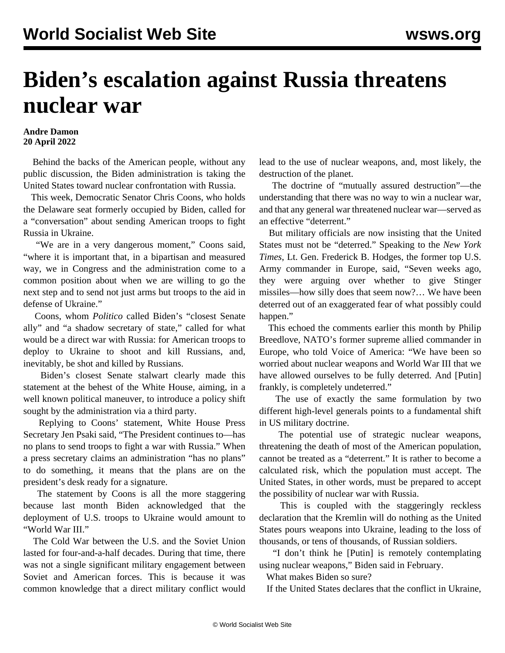## **Biden's escalation against Russia threatens nuclear war**

## **Andre Damon 20 April 2022**

 Behind the backs of the American people, without any public discussion, the Biden administration is taking the United States toward nuclear confrontation with Russia.

 This week, Democratic Senator Chris Coons, who holds the Delaware seat formerly occupied by Biden, called for a "conversation" about sending American troops to fight Russia in Ukraine.

 "We are in a very dangerous moment," Coons said, "where it is important that, in a bipartisan and measured way, we in Congress and the administration come to a common position about when we are willing to go the next step and to send not just arms but troops to the aid in defense of Ukraine."

 Coons, whom *Politico* called Biden's "closest Senate ally" and "a shadow secretary of state," called for what would be a direct war with Russia: for American troops to deploy to Ukraine to shoot and kill Russians, and, inevitably, be shot and killed by Russians.

 Biden's closest Senate stalwart clearly made this statement at the behest of the White House, aiming, in a well known political maneuver, to introduce a policy shift sought by the administration via a third party.

 Replying to Coons' statement, White House Press Secretary Jen Psaki said, "The President continues to—has no plans to send troops to fight a war with Russia." When a press secretary claims an administration "has no plans" to do something, it means that the plans are on the president's desk ready for a signature.

 The statement by Coons is all the more staggering because last month Biden acknowledged that the deployment of U.S. troops to Ukraine would amount to "World War III."

 The Cold War between the U.S. and the Soviet Union lasted for four-and-a-half decades. During that time, there was not a single significant military engagement between Soviet and American forces. This is because it was common knowledge that a direct military conflict would

lead to the use of nuclear weapons, and, most likely, the destruction of the planet.

 The doctrine of "mutually assured destruction"—the understanding that there was no way to win a nuclear war, and that any general war threatened nuclear war—served as an effective "deterrent."

 But military officials are now insisting that the United States must not be "deterred." Speaking to the *New York Times*, Lt. Gen. Frederick B. Hodges, the former top U.S. Army commander in Europe, said, "Seven weeks ago, they were arguing over whether to give Stinger missiles—how silly does that seem now?… We have been deterred out of an exaggerated fear of what possibly could happen."

 This echoed the comments earlier this month by Philip Breedlove, NATO's former supreme allied commander in Europe, who told Voice of America: "We have been so worried about nuclear weapons and World War III that we have allowed ourselves to be fully deterred. And [Putin] frankly, is completely undeterred."

 The use of exactly the same formulation by two different high-level generals points to a fundamental shift in US military doctrine.

 The potential use of strategic nuclear weapons, threatening the death of most of the American population, cannot be treated as a "deterrent." It is rather to become a calculated risk, which the population must accept. The United States, in other words, must be prepared to accept the possibility of nuclear war with Russia.

 This is coupled with the staggeringly reckless declaration that the Kremlin will do nothing as the United States pours weapons into Ukraine, leading to the loss of thousands, or tens of thousands, of Russian soldiers.

 "I don't think he [Putin] is remotely contemplating using nuclear weapons," Biden said in February.

What makes Biden so sure?

If the United States declares that the conflict in Ukraine,